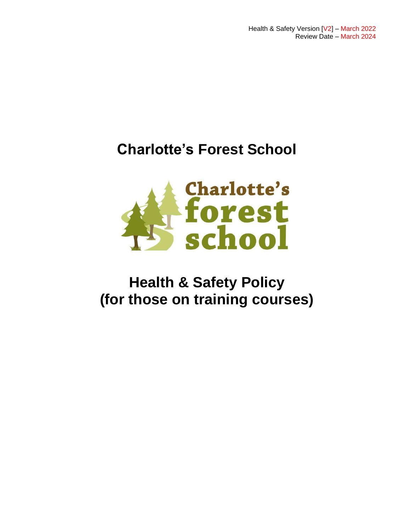Health & Safety Version [V2] – March 2022 Review Date – March 2024

# **Charlotte's Forest School**



# **Health & Safety Policy (for those on training courses)**